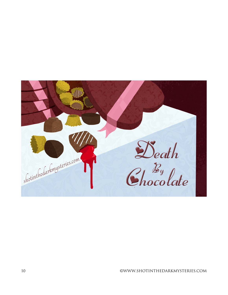

©WWW.SHOTINTHEDARKMYSTERIES.COM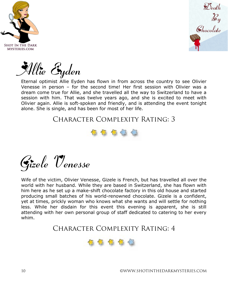



Allie Eyden

Eternal optimist Allie Eyden has flown in from across the country to see Olivier Venesse in person – for the second time! Her first session with Olivier was a dream come true for Allie, and she travelled all the way to Switzerland to have a session with him. That was twelve years ago, and she is excited to meet with Olivier again. Allie is soft-spoken and friendly, and is attending the event tonight alone. She is single, and has been for most of her life.

#### Character Complexity Rating: 3





Wife of the victim, Olivier Venesse, Gizele is French, but has travelled all over the world with her husband. While they are based in Switzerland, she has flown with him here as he set up a make-shift chocolate factory in this old house and started producing small batches of his world-renowned chocolate. Gizele is a confident, yet at times, prickly woman who knows what she wants and will settle for nothing less. While her disdain for this event this evening is apparent, she is still attending with her own personal group of staff dedicated to catering to her every whim.

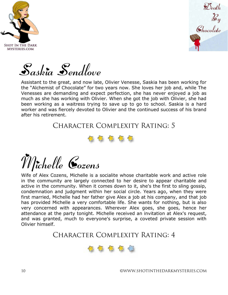



Saskia Sendlove

Assistant to the great, and now late, Olivier Venesse, Saskia has been working for the "Alchemist of Chocolate" for two years now. She loves her job and, while The Venesses are demanding and expect perfection, she has never enjoyed a job as much as she has working with Olivier. When she got the job with Olivier, she had been working as a waitress trying to save up to go to school. Saskia is a hard worker and was fiercely devoted to Olivier and the continued success of his brand after his retirement.

Character Complexity Rating: 5



# Michelle Cozens

Wife of Alex Cozens, Michelle is a socialite whose charitable work and active role in the community are largely connected to her desire to appear charitable and active in the community. When it comes down to it, she's the first to sling gossip, condemnation and judgment within her social circle. Years ago, when they were first married, Michelle had her father give Alex a job at his company, and that job has provided Michelle a very comfortable life. She wants for nothing, but is also very concerned with appearances. Wherever Alex goes, she goes, hence her attendance at the party tonight. Michelle received an invitation at Alex's request, and was granted, much to everyone's surprise, a coveted private session with Olivier himself.

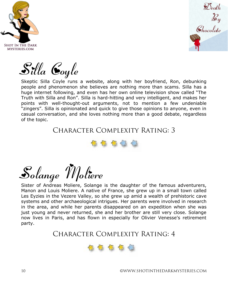



Silla Coyle

Skeptic Silla Coyle runs a website, along with her boyfriend, Ron, debunking people and phenomenon she believes are nothing more than scams. Silla has a huge internet following, and even has her own online television show called "The Truth with Silla and Ron". Silla is hard-hitting and very intelligent, and makes her points with well-thought-out arguments, not to mention a few undeniable "zingers". Silla is opinionated and quick to give those opinions to anyone, even in casual conversation, and she loves nothing more than a good debate, regardless of the topic.

Character Complexity Rating: 3



Solange Moliere

Sister of Andreas Moliere, Solange is the daughter of the famous adventurers, Manon and Louis Moliere. A native of France, she grew up in a small town called Les Eyzies in the Vezere Valley, so she grew up amid a wealth of prehistoric cave systems and other archaeological intrigues. Her parents were involved in research in the area, and while her parents disappeared on an expedition when she was just young and never returned, she and her brother are still very close. Solange now lives in Paris, and has flown in especially for Olivier Venesse's retirement party.

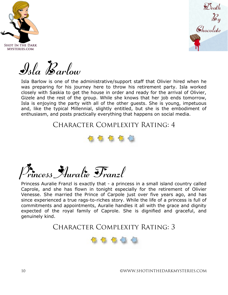



Isla Barlow

Isla Barlow is one of the administrative/support staff that Olivier hired when he was preparing for his journey here to throw his retirement party. Isla worked closely with Saskia to get the house in order and ready for the arrival of Olivier, Gizele and the rest of the group. While she knows that her job ends tomorrow, Isla is enjoying the party with all of the other guests. She is young, impetuous and, like the typical Millennial, slightly entitled, but she is the embodiment of enthusiasm, and posts practically everything that happens on social media.

Character Complexity Rating: 4



Princess Auralie Franzl

Princess Auralie Franzl is exactly that - a princess in a small island country called Caprole, and she has flown in tonight especially for the retirement of Olivier Venesse. She married the Prince of Carpole just over five years ago, and has since experienced a true rags-to-riches story. While the life of a princess is full of commitments and appointments, Auralie handles it all with the grace and dignity expected of the royal family of Caprole. She is dignified and graceful, and genuinely kind.

Character Complexity Rating: 3



10 ©WWW.SHOTINTHEDARKMYSTERIES.COM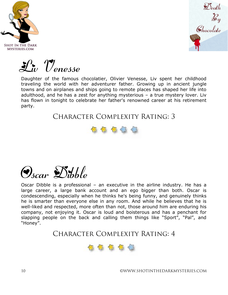



Liv Venesse

Daughter of the famous chocolatier, Olivier Venesse, Liv spent her childhood traveling the world with her adventurer father. Growing up in ancient jungle towns and on airplanes and ships going to remote places has shaped her life into adulthood, and he has a zest for anything mysterious – a true mystery lover. Liv has flown in tonight to celebrate her father's renowned career at his retirement party.

### CHARACTER COMPLEXITY RATING: 3





Oscar Dibble is a professional – an executive in the airline industry. He has a large career, a large bank account and an ego bigger than both. Oscar is condescending, especially when he thinks he's being funny, and genuinely thinks he is smarter than everyone else in any room. And while he believes that he is well-liked and respected, more often than not, those around him are enduring his company, not enjoying it. Oscar is loud and boisterous and has a penchant for slapping people on the back and calling them things like "Sport", "Pal", and "Honey".

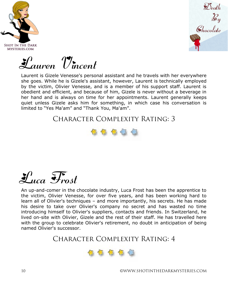



Lauren Vincent

Laurent is Gizele Venesse's personal assistant and he travels with her everywhere she goes. While he is Gizele's assistant, however, Laurent is technically employed by the victim, Olivier Venesse, and is a member of his support staff. Laurent is obedient and efficient, and because of him, Gizele is never without a beverage in her hand and is always on time for her appointments. Laurent generally keeps quiet unless Gizele asks him for something, in which case his conversation is limited to "Yes Ma'am" and "Thank You, Ma'am".

### Character Complexity Rating: 3



### Luca Frost

An up-and-comer in the chocolate industry, Luca Frost has been the apprentice to the victim, Olivier Venesse, for over five years, and has been working hard to learn all of Olivier's techniques – and more importantly, his secrets. He has made his desire to take over Olivier's company no secret and has wasted no time introducing himself to Olivier's suppliers, contacts and friends. In Switzerland, he lived on-site with Olivier, Gizele and the rest of their staff. He has travelled here with the group to celebrate Olivier's retirement, no doubt in anticipation of being named Olivier's successor.

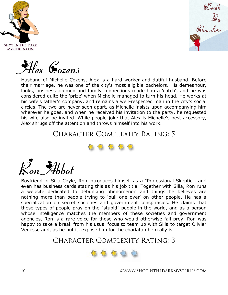





Husband of Michelle Cozens, Alex is a hard worker and dutiful husband. Before their marriage, he was one of the city's most eligible bachelors. His demeanour, looks, business acumen and family connections made him a 'catch', and he was considered quite the 'prize' when Michelle managed to turn his head. He works at his wife's father's company, and remains a well-respected man in the city's social circles. The two are never seen apart, as Michelle insists upon accompanying him wherever he goes, and when he received his invitation to the party, he requested his wife also be invited. While people joke that Alex is Michelle's best accessory, Alex shrugs off the attention and throws himself into his work.

### Character Complexity Rating: 5



Ron Abbot

Boyfriend of Silla Coyle, Ron introduces himself as a "Professional Skeptic", and even has business cards stating this as his job title. Together with Silla, Ron runs a website dedicated to debunking phenomenon and things he believes are nothing more than people trying to 'pull one over' on other people. He has a specialization on secret societies and government conspiracies. He claims that these types of people pray on the "stupid" people in the world, and as a person whose intelligence matches the members of these societies and government agencies, Ron is a rare voice for those who would otherwise fall prey. Ron was happy to take a break from his usual focus to team up with Silla to target Olivier Venesse and, as he put it, expose him for the charlatan he really is.

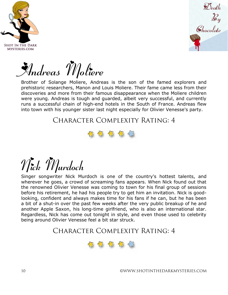



Andreas Moliere

Brother of Solange Moliere, Andreas is the son of the famed explorers and prehistoric researchers, Manon and Louis Moliere. Their fame came less from their discoveries and more from their famous disappearance when the Moliere children were young. Andreas is tough and guarded, albeit very successful, and currently runs a successful chain of high-end hotels in the South of France. Andreas flew into town with his younger sister last night especially for Olivier Venesse's party.

Character Complexity Rating: 4



## Nick Murdoch

Singer songwriter Nick Murdoch is one of the country's hottest talents, and wherever he goes, a crowd of screaming fans appears. When Nick found out that the renowned Olivier Venesse was coming to town for his final group of sessions before his retirement, he had his people try to get him an invitation. Nick is goodlooking, confident and always makes time for his fans if he can, but he has been a bit of a shut-in over the past few weeks after the very public breakup of he and another Apple Saxon, his long-time girlfriend, who is also an international star. Regardless, Nick has come out tonight in style, and even those used to celebrity being around Olivier Venesse feel a bit star struck.